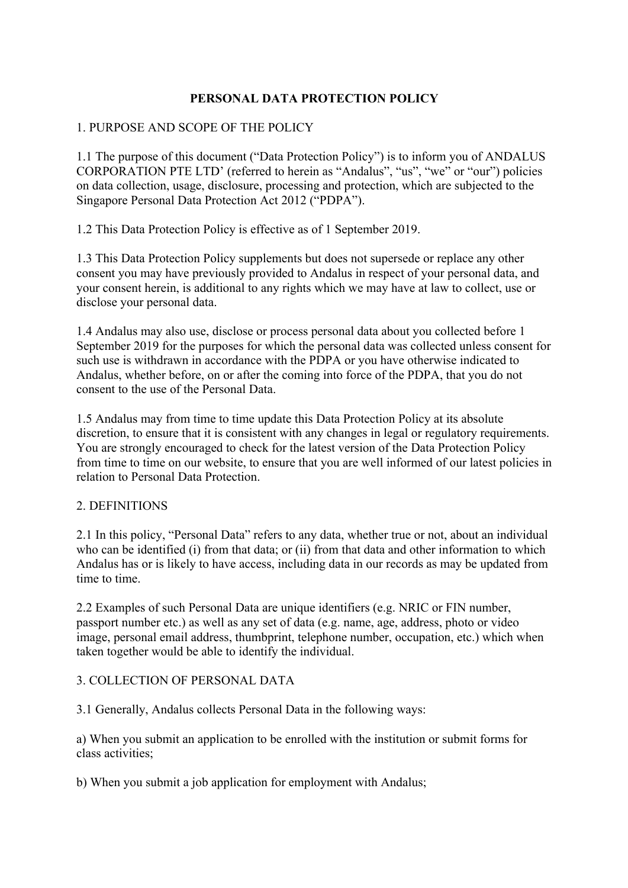## **PERSONAL DATA PROTECTION POLICY**

### 1. PURPOSE AND SCOPE OF THE POLICY

1.1 The purpose of this document ("Data Protection Policy") is to inform you of ANDALUS CORPORATION PTE LTD' (referred to herein as "Andalus", "us", "we" or "our") policies on data collection, usage, disclosure, processing and protection, which are subjected to the Singapore Personal Data Protection Act 2012 ("PDPA").

1.2 This Data Protection Policy is effective as of 1 September 2019.

1.3 This Data Protection Policy supplements but does not supersede or replace any other consent you may have previously provided to Andalus in respect of your personal data, and your consent herein, is additional to any rights which we may have at law to collect, use or disclose your personal data.

1.4 Andalus may also use, disclose or process personal data about you collected before 1 September 2019 for the purposes for which the personal data was collected unless consent for such use is withdrawn in accordance with the PDPA or you have otherwise indicated to Andalus, whether before, on or after the coming into force of the PDPA, that you do not consent to the use of the Personal Data.

1.5 Andalus may from time to time update this Data Protection Policy at its absolute discretion, to ensure that it is consistent with any changes in legal or regulatory requirements. You are strongly encouraged to check for the latest version of the Data Protection Policy from time to time on our website, to ensure that you are well informed of our latest policies in relation to Personal Data Protection.

#### 2. DEFINITIONS

2.1 In this policy, "Personal Data" refers to any data, whether true or not, about an individual who can be identified (i) from that data; or (ii) from that data and other information to which Andalus has or is likely to have access, including data in our records as may be updated from time to time.

2.2 Examples of such Personal Data are unique identifiers (e.g. NRIC or FIN number, passport number etc.) as well as any set of data (e.g. name, age, address, photo or video image, personal email address, thumbprint, telephone number, occupation, etc.) which when taken together would be able to identify the individual.

#### 3. COLLECTION OF PERSONAL DATA

3.1 Generally, Andalus collects Personal Data in the following ways:

a) When you submit an application to be enrolled with the institution or submit forms for class activities;

b) When you submit a job application for employment with Andalus;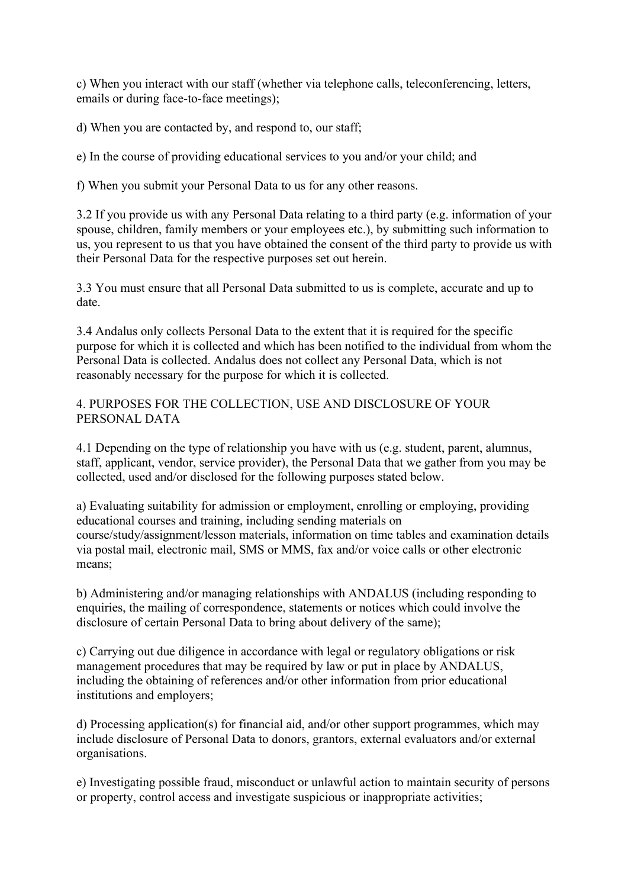c) When you interact with our staff (whether via telephone calls, teleconferencing, letters, emails or during face-to-face meetings);

d) When you are contacted by, and respond to, our staff;

e) In the course of providing educational services to you and/or your child; and

f) When you submit your Personal Data to us for any other reasons.

3.2 If you provide us with any Personal Data relating to a third party (e.g. information of your spouse, children, family members or your employees etc.), by submitting such information to us, you represent to us that you have obtained the consent of the third party to provide us with their Personal Data for the respective purposes set out herein.

3.3 You must ensure that all Personal Data submitted to us is complete, accurate and up to date.

3.4 Andalus only collects Personal Data to the extent that it is required for the specific purpose for which it is collected and which has been notified to the individual from whom the Personal Data is collected. Andalus does not collect any Personal Data, which is not reasonably necessary for the purpose for which it is collected.

## 4. PURPOSES FOR THE COLLECTION, USE AND DISCLOSURE OF YOUR PERSONAL DATA

4.1 Depending on the type of relationship you have with us (e.g. student, parent, alumnus, staff, applicant, vendor, service provider), the Personal Data that we gather from you may be collected, used and/or disclosed for the following purposes stated below.

a) Evaluating suitability for admission or employment, enrolling or employing, providing educational courses and training, including sending materials on course/study/assignment/lesson materials, information on time tables and examination details via postal mail, electronic mail, SMS or MMS, fax and/or voice calls or other electronic means;

b) Administering and/or managing relationships with ANDALUS (including responding to enquiries, the mailing of correspondence, statements or notices which could involve the disclosure of certain Personal Data to bring about delivery of the same);

c) Carrying out due diligence in accordance with legal or regulatory obligations or risk management procedures that may be required by law or put in place by ANDALUS, including the obtaining of references and/or other information from prior educational institutions and employers;

d) Processing application(s) for financial aid, and/or other support programmes, which may include disclosure of Personal Data to donors, grantors, external evaluators and/or external organisations.

e) Investigating possible fraud, misconduct or unlawful action to maintain security of persons or property, control access and investigate suspicious or inappropriate activities;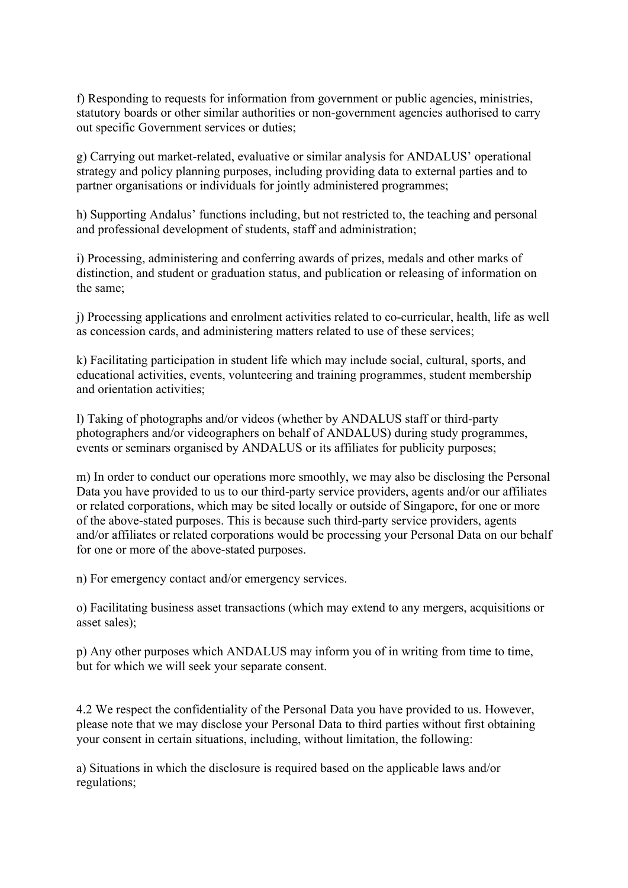f) Responding to requests for information from government or public agencies, ministries, statutory boards or other similar authorities or non-government agencies authorised to carry out specific Government services or duties;

g) Carrying out market-related, evaluative or similar analysis for ANDALUS' operational strategy and policy planning purposes, including providing data to external parties and to partner organisations or individuals for jointly administered programmes;

h) Supporting Andalus' functions including, but not restricted to, the teaching and personal and professional development of students, staff and administration;

i) Processing, administering and conferring awards of prizes, medals and other marks of distinction, and student or graduation status, and publication or releasing of information on the same;

j) Processing applications and enrolment activities related to co-curricular, health, life as well as concession cards, and administering matters related to use of these services;

k) Facilitating participation in student life which may include social, cultural, sports, and educational activities, events, volunteering and training programmes, student membership and orientation activities;

l) Taking of photographs and/or videos (whether by ANDALUS staff or third-party photographers and/or videographers on behalf of ANDALUS) during study programmes, events or seminars organised by ANDALUS or its affiliates for publicity purposes;

m) In order to conduct our operations more smoothly, we may also be disclosing the Personal Data you have provided to us to our third-party service providers, agents and/or our affiliates or related corporations, which may be sited locally or outside of Singapore, for one or more of the above-stated purposes. This is because such third-party service providers, agents and/or affiliates or related corporations would be processing your Personal Data on our behalf for one or more of the above-stated purposes.

n) For emergency contact and/or emergency services.

o) Facilitating business asset transactions (which may extend to any mergers, acquisitions or asset sales);

p) Any other purposes which ANDALUS may inform you of in writing from time to time, but for which we will seek your separate consent.

4.2 We respect the confidentiality of the Personal Data you have provided to us. However, please note that we may disclose your Personal Data to third parties without first obtaining your consent in certain situations, including, without limitation, the following:

a) Situations in which the disclosure is required based on the applicable laws and/or regulations;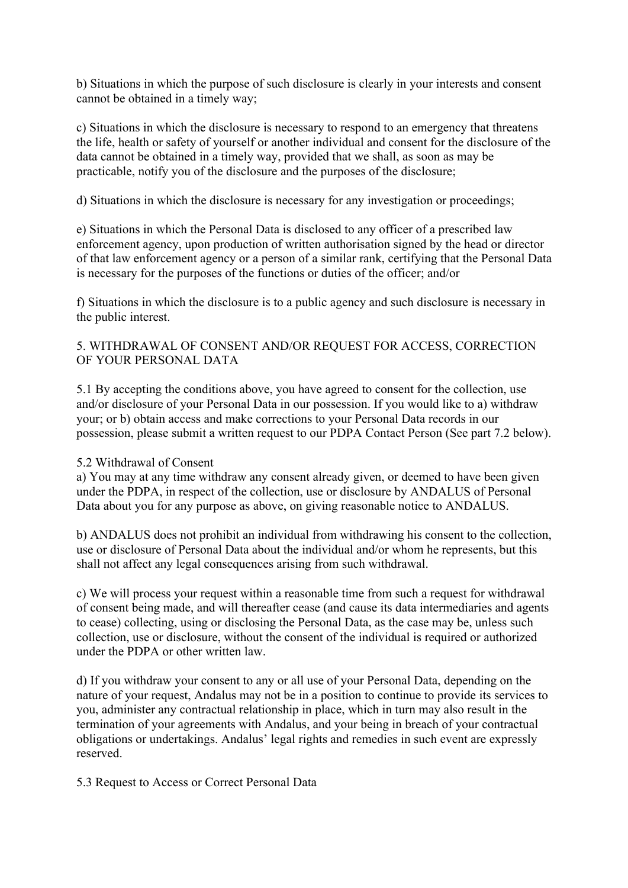b) Situations in which the purpose of such disclosure is clearly in your interests and consent cannot be obtained in a timely way;

c) Situations in which the disclosure is necessary to respond to an emergency that threatens the life, health or safety of yourself or another individual and consent for the disclosure of the data cannot be obtained in a timely way, provided that we shall, as soon as may be practicable, notify you of the disclosure and the purposes of the disclosure;

d) Situations in which the disclosure is necessary for any investigation or proceedings;

e) Situations in which the Personal Data is disclosed to any officer of a prescribed law enforcement agency, upon production of written authorisation signed by the head or director of that law enforcement agency or a person of a similar rank, certifying that the Personal Data is necessary for the purposes of the functions or duties of the officer; and/or

f) Situations in which the disclosure is to a public agency and such disclosure is necessary in the public interest.

## 5. WITHDRAWAL OF CONSENT AND/OR REQUEST FOR ACCESS, CORRECTION OF YOUR PERSONAL DATA

5.1 By accepting the conditions above, you have agreed to consent for the collection, use and/or disclosure of your Personal Data in our possession. If you would like to a) withdraw your; or b) obtain access and make corrections to your Personal Data records in our possession, please submit a written request to our PDPA Contact Person (See part 7.2 below).

## 5.2 Withdrawal of Consent

a) You may at any time withdraw any consent already given, or deemed to have been given under the PDPA, in respect of the collection, use or disclosure by ANDALUS of Personal Data about you for any purpose as above, on giving reasonable notice to ANDALUS.

b) ANDALUS does not prohibit an individual from withdrawing his consent to the collection, use or disclosure of Personal Data about the individual and/or whom he represents, but this shall not affect any legal consequences arising from such withdrawal.

c) We will process your request within a reasonable time from such a request for withdrawal of consent being made, and will thereafter cease (and cause its data intermediaries and agents to cease) collecting, using or disclosing the Personal Data, as the case may be, unless such collection, use or disclosure, without the consent of the individual is required or authorized under the PDPA or other written law.

d) If you withdraw your consent to any or all use of your Personal Data, depending on the nature of your request, Andalus may not be in a position to continue to provide its services to you, administer any contractual relationship in place, which in turn may also result in the termination of your agreements with Andalus, and your being in breach of your contractual obligations or undertakings. Andalus' legal rights and remedies in such event are expressly reserved.

5.3 Request to Access or Correct Personal Data